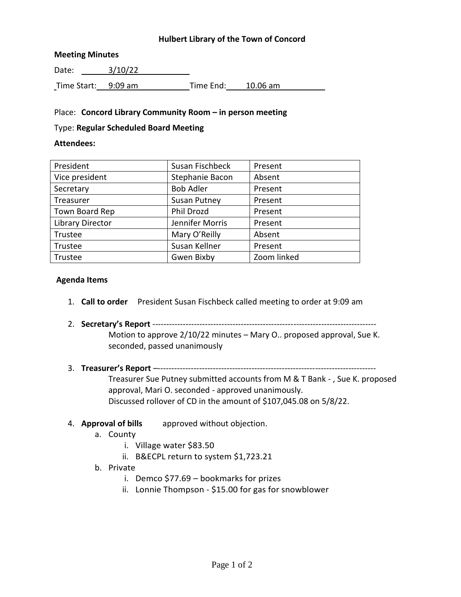# **Hulbert Library of the Town of Concord**

#### **Meeting Minutes**

Date: 3/10/22 Time Start: 9:09 am Time End: 10.06 am

#### Place: **Concord Library Community Room – in person meeting**

#### Type: **Regular Scheduled Board Meeting**

#### **Attendees:**

| President               | Susan Fischbeck     | Present     |
|-------------------------|---------------------|-------------|
| Vice president          | Stephanie Bacon     | Absent      |
| Secretary               | <b>Bob Adler</b>    | Present     |
| Treasurer               | <b>Susan Putney</b> | Present     |
| Town Board Rep          | Phil Drozd          | Present     |
| <b>Library Director</b> | Jennifer Morris     | Present     |
| Trustee                 | Mary O'Reilly       | Absent      |
| Trustee                 | Susan Kellner       | Present     |
| Trustee                 | Gwen Bixby          | Zoom linked |

#### **Agenda Items**

- 1. **Call to order** President Susan Fischbeck called meeting to order at 9:09 am
- 2. **Secretary's Report** --------------------------------------------------------------------------------- Motion to approve 2/10/22 minutes – Mary O.. proposed approval, Sue K. seconded, passed unanimously
- 3. **Treasurer's Report** –-------------------------------------------------------------------------------

Treasurer Sue Putney submitted accounts from M & T Bank - , Sue K. proposed approval, Mari O. seconded - approved unanimously. Discussed rollover of CD in the amount of \$107,045.08 on 5/8/22.

# 4. **Approval of bills** approved without objection.

- a. County
	- i. Village water \$83.50
	- ii. B&ECPL return to system \$1,723.21

#### b. Private

- i. Demco \$77.69 bookmarks for prizes
- ii. Lonnie Thompson \$15.00 for gas for snowblower